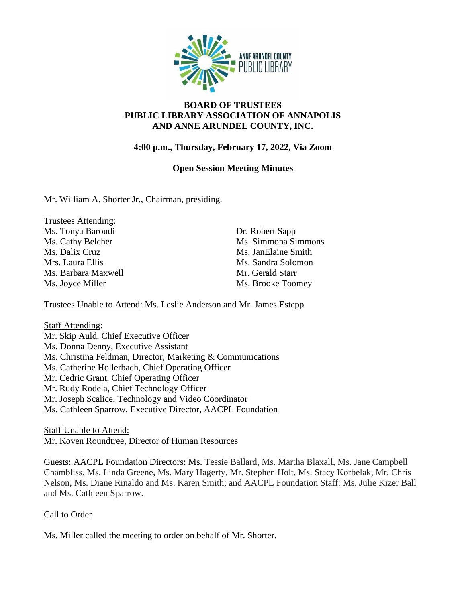

# **BOARD OF TRUSTEES PUBLIC LIBRARY ASSOCIATION OF ANNAPOLIS AND ANNE ARUNDEL COUNTY, INC.**

# **4:00 p.m., Thursday, February 17, 2022, Via Zoom**

#### **Open Session Meeting Minutes**

Mr. William A. Shorter Jr., Chairman, presiding.

| Trustees Attending: |
|---------------------|
| Ms. Tonya Baroudi   |
| Ms. Cathy Belcher   |
| Ms. Dalix Cruz      |
| Mrs. Laura Ellis    |
| Ms. Barbara Maxwell |
| Ms. Joyce Miller    |

Dr. Robert Sapp Ms. Simmona Simmons Ms. JanElaine Smith Ms. Sandra Solomon Mr. Gerald Starr Ms. Brooke Toomey

Trustees Unable to Attend: Ms. Leslie Anderson and Mr. James Estepp

Staff Attending: Mr. Skip Auld, Chief Executive Officer Ms. Donna Denny, Executive Assistant Ms. Christina Feldman, Director, Marketing & Communications Ms. Catherine Hollerbach, Chief Operating Officer Mr. Cedric Grant, Chief Operating Officer Mr. Rudy Rodela, Chief Technology Officer Mr. Joseph Scalice, Technology and Video Coordinator Ms. Cathleen Sparrow, Executive Director, AACPL Foundation

Staff Unable to Attend:

Mr. Koven Roundtree, Director of Human Resources

Guests: AACPL Foundation Directors: Ms. Tessie Ballard, Ms. Martha Blaxall, Ms. Jane Campbell Chambliss, Ms. Linda Greene, Ms. Mary Hagerty, Mr. Stephen Holt, Ms. Stacy Korbelak, Mr. Chris Nelson, Ms. Diane Rinaldo and Ms. Karen Smith; and AACPL Foundation Staff: Ms. Julie Kizer Ball and Ms. Cathleen Sparrow.

#### Call to Order

Ms. Miller called the meeting to order on behalf of Mr. Shorter.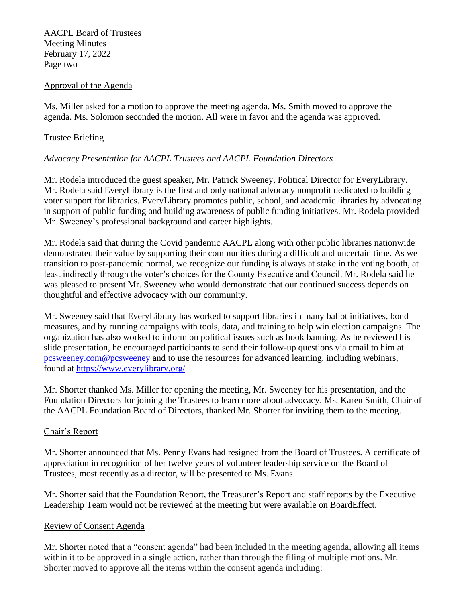AACPL Board of Trustees Meeting Minutes February 17, 2022 Page two

#### Approval of the Agenda

Ms. Miller asked for a motion to approve the meeting agenda. Ms. Smith moved to approve the agenda. Ms. Solomon seconded the motion. All were in favor and the agenda was approved.

#### Trustee Briefing

# *Advocacy Presentation for AACPL Trustees and AACPL Foundation Directors*

Mr. Rodela introduced the guest speaker, Mr. Patrick Sweeney, Political Director for EveryLibrary. Mr. Rodela said EveryLibrary is the first and only national advocacy nonprofit dedicated to building voter support for libraries. EveryLibrary promotes public, school, and academic libraries by advocating in support of public funding and building awareness of public funding initiatives. Mr. Rodela provided Mr. Sweeney's professional background and career highlights.

Mr. Rodela said that during the Covid pandemic AACPL along with other public libraries nationwide demonstrated their value by supporting their communities during a difficult and uncertain time. As we transition to post-pandemic normal, we recognize our funding is always at stake in the voting booth, at least indirectly through the voter's choices for the County Executive and Council. Mr. Rodela said he was pleased to present Mr. Sweeney who would demonstrate that our continued success depends on thoughtful and effective advocacy with our community.

Mr. Sweeney said that EveryLibrary has worked to support libraries in many ballot initiatives, bond measures, and by running campaigns with tools, data, and training to help win election campaigns. The organization has also worked to inform on political issues such as book banning. As he reviewed his slide presentation, he encouraged participants to send their follow-up questions via email to him at [pcsweeney.com@pcsweeney](mailto:pcsweeney.com@pcsweeney) and to use the resources for advanced learning, including webinars, found at<https://www.everylibrary.org/>

Mr. Shorter thanked Ms. Miller for opening the meeting, Mr. Sweeney for his presentation, and the Foundation Directors for joining the Trustees to learn more about advocacy. Ms. Karen Smith, Chair of the AACPL Foundation Board of Directors, thanked Mr. Shorter for inviting them to the meeting.

#### Chair's Report

Mr. Shorter announced that Ms. Penny Evans had resigned from the Board of Trustees. A certificate of appreciation in recognition of her twelve years of volunteer leadership service on the Board of Trustees, most recently as a director, will be presented to Ms. Evans.

Mr. Shorter said that the Foundation Report, the Treasurer's Report and staff reports by the Executive Leadership Team would not be reviewed at the meeting but were available on BoardEffect.

#### Review of Consent Agenda

Mr. Shorter noted that a "consent agenda" had been included in the meeting agenda, allowing all items within it to be approved in a single action, rather than through the filing of multiple motions. Mr. Shorter moved to approve all the items within the consent agenda including: